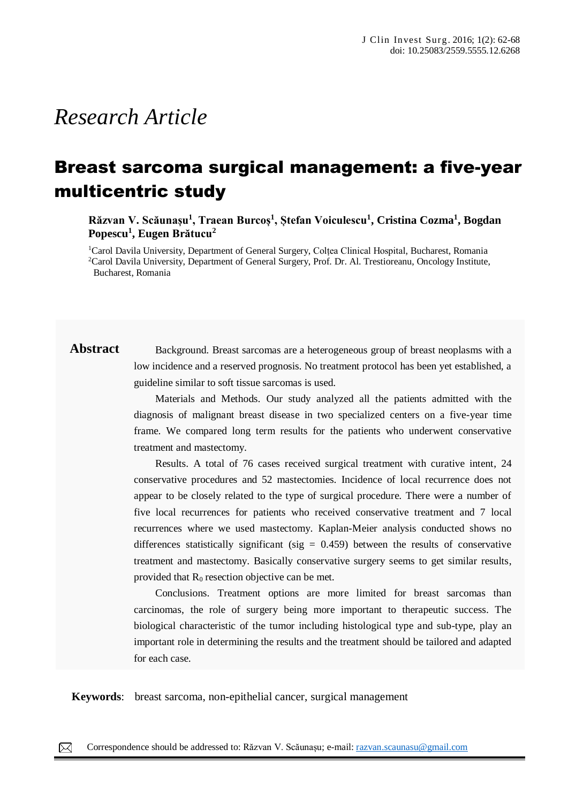# *Research Article*

## Breast sarcoma surgical management: a five-year multicentric study

**Răzvan V. Scăunașu<sup>1</sup> , Traean Burcoș<sup>1</sup> , Ștefan Voiculescu<sup>1</sup> , Cristina Cozma<sup>1</sup> , Bogdan Popescu<sup>1</sup> , Eugen Brătucu<sup>2</sup>**

<sup>1</sup>Carol Davila University, Department of General Surgery, Colțea Clinical Hospital, Bucharest, Romania <sup>2</sup>Carol Davila University, Department of General Surgery, Prof. Dr. Al. Trestioreanu, Oncology Institute, Bucharest, Romania

## **Abstract** Background. Breast sarcomas are a heterogeneous group of breast neoplasms with a low incidence and a reserved prognosis. No treatment protocol has been yet established, a guideline similar to soft tissue sarcomas is used.

Materials and Methods. Our study analyzed all the patients admitted with the diagnosis of malignant breast disease in two specialized centers on a five-year time frame. We compared long term results for the patients who underwent conservative treatment and mastectomy.

Results. A total of 76 cases received surgical treatment with curative intent, 24 conservative procedures and 52 mastectomies. Incidence of local recurrence does not appear to be closely related to the type of surgical procedure. There were a number of five local recurrences for patients who received conservative treatment and 7 local recurrences where we used mastectomy. Kaplan-Meier analysis conducted shows no differences statistically significant (sig  $= 0.459$ ) between the results of conservative treatment and mastectomy. Basically conservative surgery seems to get similar results, provided that  $R_0$  resection objective can be met.

Conclusions. Treatment options are more limited for breast sarcomas than carcinomas, the role of surgery being more important to therapeutic success. The biological characteristic of the tumor including histological type and sub-type, play an important role in determining the results and the treatment should be tailored and adapted for each case.

**Keywords**: breast sarcoma, non-epithelial cancer, surgical management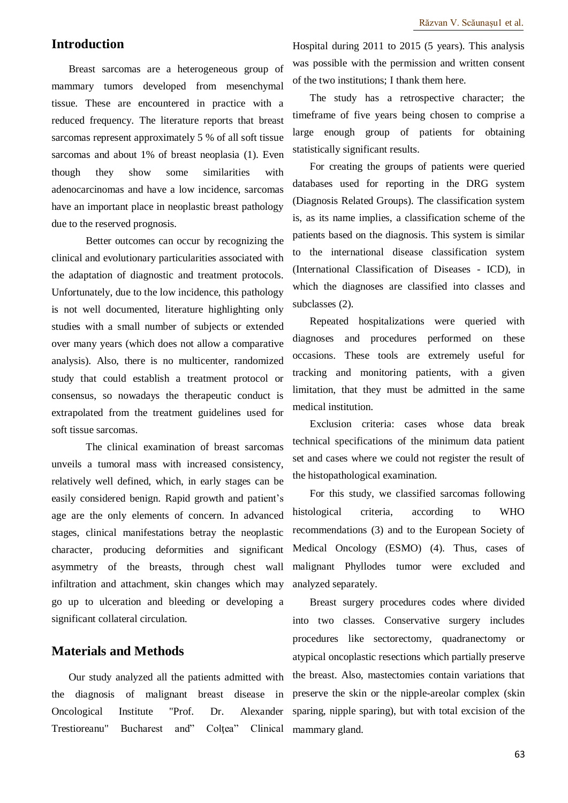### **Introduction**

Breast sarcomas are a heterogeneous group of mammary tumors developed from mesenchymal tissue. These are encountered in practice with a reduced frequency. The literature reports that breast sarcomas represent approximately 5 % of all soft tissue sarcomas and about 1% of breast neoplasia (1). Even though they show some similarities with adenocarcinomas and have a low incidence, sarcomas have an important place in neoplastic breast pathology due to the reserved prognosis.

Better outcomes can occur by recognizing the clinical and evolutionary particularities associated with the adaptation of diagnostic and treatment protocols. Unfortunately, due to the low incidence, this pathology is not well documented, literature highlighting only studies with a small number of subjects or extended over many years (which does not allow a comparative analysis). Also, there is no multicenter, randomized study that could establish a treatment protocol or consensus, so nowadays the therapeutic conduct is extrapolated from the treatment guidelines used for soft tissue sarcomas.

The clinical examination of breast sarcomas unveils a tumoral mass with increased consistency, relatively well defined, which, in early stages can be easily considered benign. Rapid growth and patient's age are the only elements of concern. In advanced stages, clinical manifestations betray the neoplastic character, producing deformities and significant asymmetry of the breasts, through chest wall infiltration and attachment, skin changes which may go up to ulceration and bleeding or developing a significant collateral circulation.

#### **Materials and Methods**

Our study analyzed all the patients admitted with the diagnosis of malignant breast disease in Oncological Institute "Prof. Dr. Alexander Trestioreanu" Bucharest and" Coltea" Clinical

Hospital during 2011 to 2015 (5 years). This analysis was possible with the permission and written consent of the two institutions; I thank them here.

The study has a retrospective character; the timeframe of five years being chosen to comprise a large enough group of patients for obtaining statistically significant results.

For creating the groups of patients were queried databases used for reporting in the DRG system (Diagnosis Related Groups). The classification system is, as its name implies, a classification scheme of the patients based on the diagnosis. This system is similar to the international disease classification system (International Classification of Diseases - ICD), in which the diagnoses are classified into classes and subclasses (2).

Repeated hospitalizations were queried with diagnoses and procedures performed on these occasions. These tools are extremely useful for tracking and monitoring patients, with a given limitation, that they must be admitted in the same medical institution.

Exclusion criteria: cases whose data break technical specifications of the minimum data patient set and cases where we could not register the result of the histopathological examination.

For this study, we classified sarcomas following histological criteria, according to WHO recommendations (3) and to the European Society of Medical Oncology (ESMO) (4). Thus, cases of malignant Phyllodes tumor were excluded and analyzed separately.

Breast surgery procedures codes where divided into two classes. Conservative surgery includes procedures like sectorectomy, quadranectomy or atypical oncoplastic resections which partially preserve the breast. Also, mastectomies contain variations that preserve the skin or the nipple-areolar complex (skin sparing, nipple sparing), but with total excision of the mammary gland.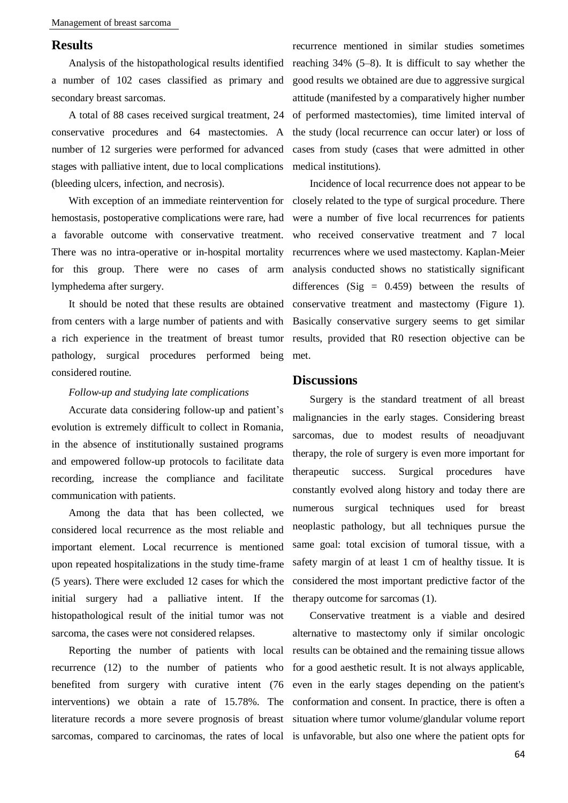#### **Results**

Analysis of the histopathological results identified a number of 102 cases classified as primary and secondary breast sarcomas.

A total of 88 cases received surgical treatment, 24 conservative procedures and 64 mastectomies. A number of 12 surgeries were performed for advanced stages with palliative intent, due to local complications (bleeding ulcers, infection, and necrosis).

With exception of an immediate reintervention for hemostasis, postoperative complications were rare, had a favorable outcome with conservative treatment. There was no intra-operative or in-hospital mortality for this group. There were no cases of arm lymphedema after surgery.

It should be noted that these results are obtained from centers with a large number of patients and with a rich experience in the treatment of breast tumor pathology, surgical procedures performed being considered routine.

#### *Follow-up and studying late complications*

Accurate data considering follow-up and patient's evolution is extremely difficult to collect in Romania, in the absence of institutionally sustained programs and empowered follow-up protocols to facilitate data recording, increase the compliance and facilitate communication with patients.

Among the data that has been collected, we considered local recurrence as the most reliable and important element. Local recurrence is mentioned upon repeated hospitalizations in the study time-frame (5 years). There were excluded 12 cases for which the initial surgery had a palliative intent. If the histopathological result of the initial tumor was not sarcoma, the cases were not considered relapses.

Reporting the number of patients with local recurrence (12) to the number of patients who benefited from surgery with curative intent (76 interventions) we obtain a rate of 15.78%. The literature records a more severe prognosis of breast sarcomas, compared to carcinomas, the rates of local is unfavorable, but also one where the patient opts for

recurrence mentioned in similar studies sometimes reaching 34% (5–8). It is difficult to say whether the good results we obtained are due to aggressive surgical attitude (manifested by a comparatively higher number of performed mastectomies), time limited interval of the study (local recurrence can occur later) or loss of cases from study (cases that were admitted in other medical institutions).

Incidence of local recurrence does not appear to be closely related to the type of surgical procedure. There were a number of five local recurrences for patients who received conservative treatment and 7 local recurrences where we used mastectomy. Kaplan-Meier analysis conducted shows no statistically significant differences (Sig  $= 0.459$ ) between the results of conservative treatment and mastectomy (Figure 1). Basically conservative surgery seems to get similar results, provided that R0 resection objective can be met.

#### **Discussions**

Surgery is the standard treatment of all breast malignancies in the early stages. Considering breast sarcomas, due to modest results of neoadjuvant therapy, the role of surgery is even more important for therapeutic success. Surgical procedures have constantly evolved along history and today there are numerous surgical techniques used for breast neoplastic pathology, but all techniques pursue the same goal: total excision of tumoral tissue, with a safety margin of at least 1 cm of healthy tissue. It is considered the most important predictive factor of the therapy outcome for sarcomas (1).

Conservative treatment is a viable and desired alternative to mastectomy only if similar oncologic results can be obtained and the remaining tissue allows for a good aesthetic result. It is not always applicable, even in the early stages depending on the patient's conformation and consent. In practice, there is often a situation where tumor volume/glandular volume report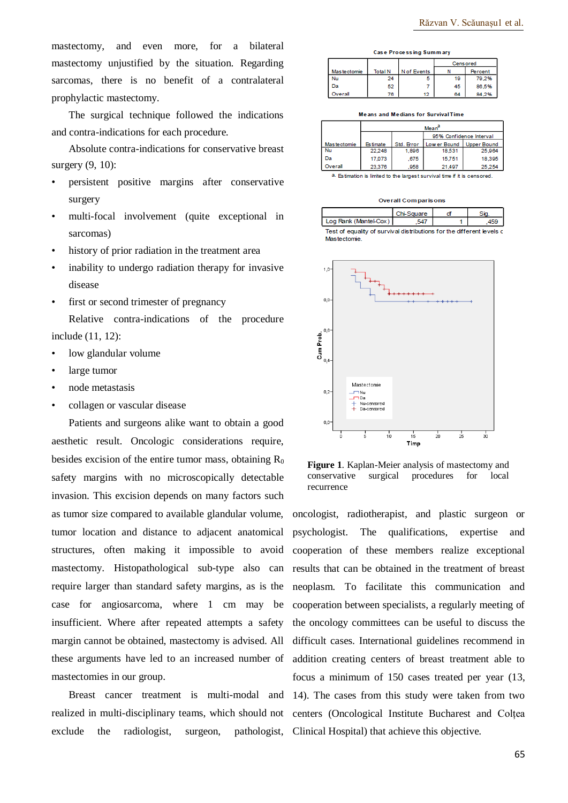mastectomy, and even more, for a bilateral mastectomy unjustified by the situation. Regarding sarcomas, there is no benefit of a contralateral prophylactic mastectomy.

The surgical technique followed the indications and contra-indications for each procedure.

Absolute contra-indications for conservative breast surgery (9, 10):

- persistent positive margins after conservative surgery
- multi-focal involvement (quite exceptional in sarcomas)
- history of prior radiation in the treatment area
- inability to undergo radiation therapy for invasive disease
- first or second trimester of pregnancy Relative contra-indications of the procedure include (11, 12):
- low glandular volume
- large tumor
- node metastasis
- collagen or vascular disease

Patients and surgeons alike want to obtain a good aesthetic result. Oncologic considerations require, besides excision of the entire tumor mass, obtaining  $R_0$ safety margins with no microscopically detectable invasion. This excision depends on many factors such as tumor size compared to available glandular volume, tumor location and distance to adjacent anatomical structures, often making it impossible to avoid mastectomy. Histopathological sub-type also can require larger than standard safety margins, as is the case for angiosarcoma, where 1 cm may be insufficient. Where after repeated attempts a safety margin cannot be obtained, mastectomy is advised. All these arguments have led to an increased number of mastectomies in our group.

realized in multi-disciplinary teams, which should not exclude the radiologist, surgeon, pathologist, Clinical Hospital) that achieve this objective.

| Case Frocessing Summary |                |             |                 |                |  |  |  |  |
|-------------------------|----------------|-------------|-----------------|----------------|--|--|--|--|
|                         |                |             | <b>Censored</b> |                |  |  |  |  |
| Mas tectomie            | <b>Total N</b> | N of Events |                 | <b>Percent</b> |  |  |  |  |
| Nu                      | 24             | a           | 19              | 79.2%          |  |  |  |  |
| Da                      | 52             |             | 45              | 86.5%          |  |  |  |  |
| Dverall                 | 76             |             | 64              | 84 2%          |  |  |  |  |

Means and Medians for Survival Time

|              | Mean <sup>a</sup> |            |                         |                    |  |
|--------------|-------------------|------------|-------------------------|--------------------|--|
|              |                   |            | 95% Confidence Interval |                    |  |
| Mas tectomie | <b>Estimate</b>   | Std. Error | Low er Bound            | <b>Upper Bound</b> |  |
| Nu           | 22,248            | 1,896      | 18,531                  | 25,964             |  |
| Dа           | 17,073            | .675       | 15,751                  | 18,395             |  |
| Overall      | 23,376            | 958        | 21,497                  | 25.254             |  |

8. Estimation is limited to the largest survival time if it is censored.

| <b>Overall Comparisons</b>                                             |            |    |     |  |  |  |
|------------------------------------------------------------------------|------------|----|-----|--|--|--|
|                                                                        | Chi-Square | C1 |     |  |  |  |
| Log Rank (Mantel-Cox)                                                  |            |    | -69 |  |  |  |
| Test of equality of survival distributions for the different levels of |            |    |     |  |  |  |

Mastectomie



**Figure 1**. Kaplan-Meier analysis of mastectomy and conservative surgical procedures for local recurrence

Breast cancer treatment is multi-modal and 14). The cases from this study were taken from two oncologist, radiotherapist, and plastic surgeon or psychologist. The qualifications, expertise and cooperation of these members realize exceptional results that can be obtained in the treatment of breast neoplasm. To facilitate this communication and cooperation between specialists, a regularly meeting of the oncology committees can be useful to discuss the difficult cases. International guidelines recommend in addition creating centers of breast treatment able to focus a minimum of 150 cases treated per year (13, centers (Oncological Institute Bucharest and Colțea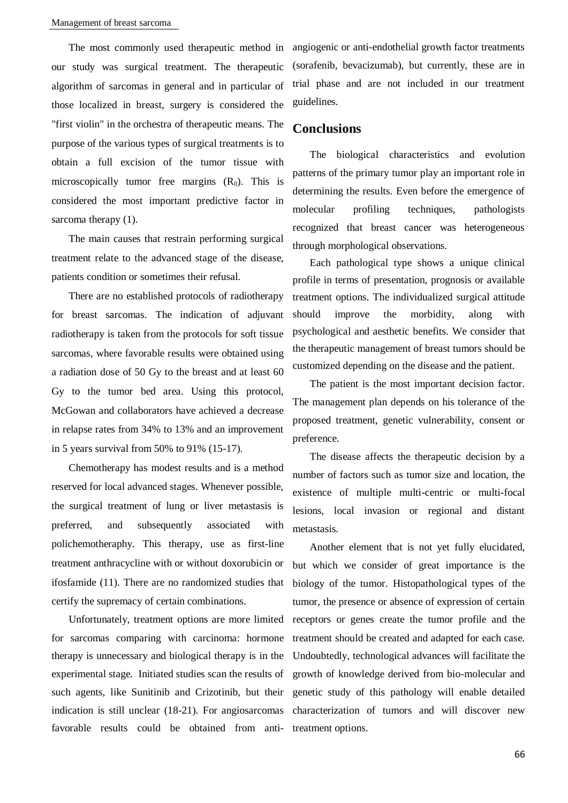The most commonly used therapeutic method in our study was surgical treatment. The therapeutic algorithm of sarcomas in general and in particular of those localized in breast, surgery is considered the "first violin" in the orchestra of therapeutic means. The purpose of the various types of surgical treatments is to obtain a full excision of the tumor tissue with microscopically tumor free margins  $(R_0)$ . This is considered the most important predictive factor in sarcoma therapy (1).

The main causes that restrain performing surgical treatment relate to the advanced stage of the disease, patients condition or sometimes their refusal.

There are no established protocols of radiotherapy for breast sarcomas. The indication of adjuvant radiotherapy is taken from the protocols for soft tissue sarcomas, where favorable results were obtained using a radiation dose of 50 Gy to the breast and at least 60 Gy to the tumor bed area. Using this protocol, McGowan and collaborators have achieved a decrease in relapse rates from 34% to 13% and an improvement in 5 years survival from 50% to 91% (15-17).

Chemotherapy has modest results and is a method reserved for local advanced stages. Whenever possible, the surgical treatment of lung or liver metastasis is preferred, and subsequently associated with polichemotheraphy. This therapy, use as first-line treatment anthracycline with or without doxorubicin or ifosfamide (11). There are no randomized studies that certify the supremacy of certain combinations.

Unfortunately, treatment options are more limited for sarcomas comparing with carcinoma: hormone therapy is unnecessary and biological therapy is in the experimental stage. Initiated studies scan the results of such agents, like Sunitinib and Crizotinib, but their indication is still unclear (18-21). For angiosarcomas favorable results could be obtained from antiangiogenic or anti-endothelial growth factor treatments (sorafenib, bevacizumab), but currently, these are in trial phase and are not included in our treatment guidelines.

#### **Conclusions**

The biological characteristics and evolution patterns of the primary tumor play an important role in determining the results. Even before the emergence of molecular profiling techniques, pathologists recognized that breast cancer was heterogeneous through morphological observations.

Each pathological type shows a unique clinical profile in terms of presentation, prognosis or available treatment options. The individualized surgical attitude should improve the morbidity, along with psychological and aesthetic benefits. We consider that the therapeutic management of breast tumors should be customized depending on the disease and the patient.

The patient is the most important decision factor. The management plan depends on his tolerance of the proposed treatment, genetic vulnerability, consent or preference.

The disease affects the therapeutic decision by a number of factors such as tumor size and location, the existence of multiple multi-centric or multi-focal lesions, local invasion or regional and distant metastasis.

Another element that is not yet fully elucidated, but which we consider of great importance is the biology of the tumor. Histopathological types of the tumor, the presence or absence of expression of certain receptors or genes create the tumor profile and the treatment should be created and adapted for each case. Undoubtedly, technological advances will facilitate the growth of knowledge derived from bio-molecular and genetic study of this pathology will enable detailed characterization of tumors and will discover new treatment options.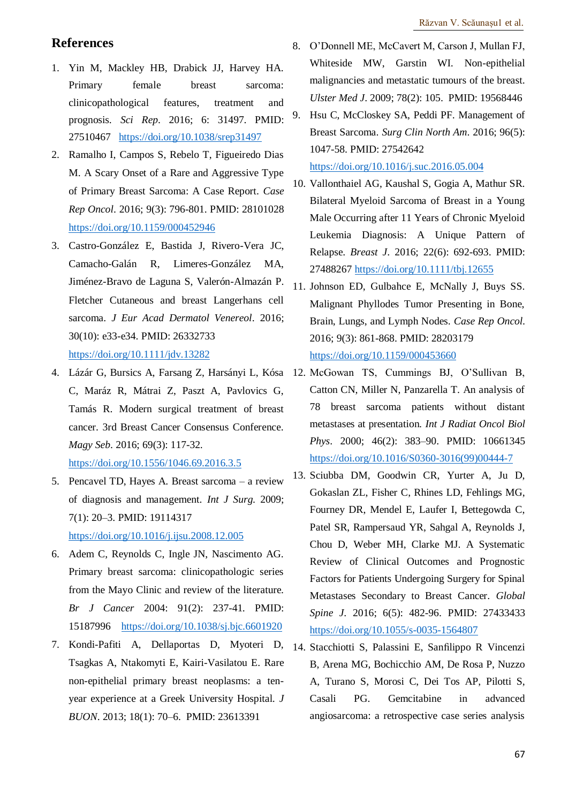## **References**

- 1. Yin M, Mackley HB, Drabick JJ, Harvey HA. Primary female breast sarcoma: clinicopathological features, treatment and prognosis. *Sci Rep*. 2016; 6: 31497. PMID: 27510467 <https://doi.org/10.1038/srep31497>
- 2. Ramalho I, Campos S, Rebelo T, Figueiredo Dias M. A Scary Onset of a Rare and Aggressive Type of Primary Breast Sarcoma: A Case Report. *Case Rep Oncol*. 2016; 9(3): 796-801. PMID: 28101028 <https://doi.org/10.1159/000452946>
- 3. Castro-González E, Bastida J, Rivero-Vera JC, Camacho-Galán R, Limeres-González MA, Jiménez-Bravo de Laguna S, Valerón-Almazán P. Fletcher Cutaneous and breast Langerhans cell sarcoma. *J Eur Acad Dermatol Venereol*. 2016; 30(10): e33-e34. PMID: 26332733 <https://doi.org/10.1111/jdv.13282>
- 4. Lázár G, Bursics A, Farsang Z, Harsányi L, Kósa 12. McGowan TS, Cummings BJ, O'Sullivan B, C, Maráz R, Mátrai Z, Paszt A, Pavlovics G, Tamás R. Modern surgical treatment of breast cancer. 3rd Breast Cancer Consensus Conference. *Magy Seb*. 2016; 69(3): 117-32. <https://doi.org/10.1556/1046.69.2016.3.5>
- 5. Pencavel TD, Hayes A. Breast sarcoma a review of diagnosis and management. *Int J Surg*. 2009; 7(1): 20–3. PMID: 19114317 <https://doi.org/10.1016/j.ijsu.2008.12.005>
- 6. Adem C, Reynolds C, Ingle JN, Nascimento AG. Primary breast sarcoma: clinicopathologic series from the Mayo Clinic and review of the literature. *Br J Cancer* 2004: 91(2): 237-41. PMID: 15187996 <https://doi.org/10.1038/sj.bjc.6601920>
- 7. Kondi-Pafiti A, Dellaportas D, Myoteri D, Tsagkas A, Ntakomyti E, Kairi-Vasilatou E. Rare non-epithelial primary breast neoplasms: a tenyear experience at a Greek University Hospital. *J BUON*. 2013; 18(1): 70–6. PMID: 23613391
- 8. O'Donnell ME, McCavert M, Carson J, Mullan FJ, Whiteside MW, Garstin WI. Non-epithelial malignancies and metastatic tumours of the breast. *Ulster Med J*. 2009; 78(2): 105. PMID: 19568446
- 9. Hsu C, McCloskey SA, Peddi PF. Management of Breast Sarcoma. *Surg Clin North Am*. 2016; 96(5): 1047-58. PMID: 27542642

<https://doi.org/10.1016/j.suc.2016.05.004>

- 10. Vallonthaiel AG, Kaushal S, Gogia A, Mathur SR. Bilateral Myeloid Sarcoma of Breast in a Young Male Occurring after 11 Years of Chronic Myeloid Leukemia Diagnosis: A Unique Pattern of Relapse. *Breast J*. 2016; 22(6): 692-693. PMID: 27488267 <https://doi.org/10.1111/tbj.12655>
- 11. Johnson ED, Gulbahce E, McNally J, Buys SS. Malignant Phyllodes Tumor Presenting in Bone, Brain, Lungs, and Lymph Nodes. *Case Rep Oncol*. 2016; 9(3): 861-868. PMID: 28203179 <https://doi.org/10.1159/000453660>
- Catton CN, Miller N, Panzarella T. An analysis of 78 breast sarcoma patients without distant metastases at presentation*. Int J Radiat Oncol Biol Phys*. 2000; 46(2): 383–90. PMID: 10661345 [https://doi.org/10.1016/S0360-3016\(99\)00444-7](https://doi.org/10.1016/S0360-3016(99)00444-7)
- 13. Sciubba DM, Goodwin CR, Yurter A, Ju D, Gokaslan ZL, Fisher C, Rhines LD, Fehlings MG, Fourney DR, Mendel E, Laufer I, Bettegowda C, Patel SR, Rampersaud YR, Sahgal A, Reynolds J, Chou D, Weber MH, Clarke MJ. A Systematic Review of Clinical Outcomes and Prognostic Factors for Patients Undergoing Surgery for Spinal Metastases Secondary to Breast Cancer. *Global Spine J*. 2016; 6(5): 482-96. PMID: 27433433 <https://doi.org/10.1055/s-0035-1564807>
- 14. Stacchiotti S, Palassini E, Sanfilippo R Vincenzi B, Arena MG, Bochicchio AM, De Rosa P, Nuzzo A, Turano S, Morosi C, Dei Tos AP, Pilotti S, Casali PG. Gemcitabine in advanced angiosarcoma: a retrospective case series analysis